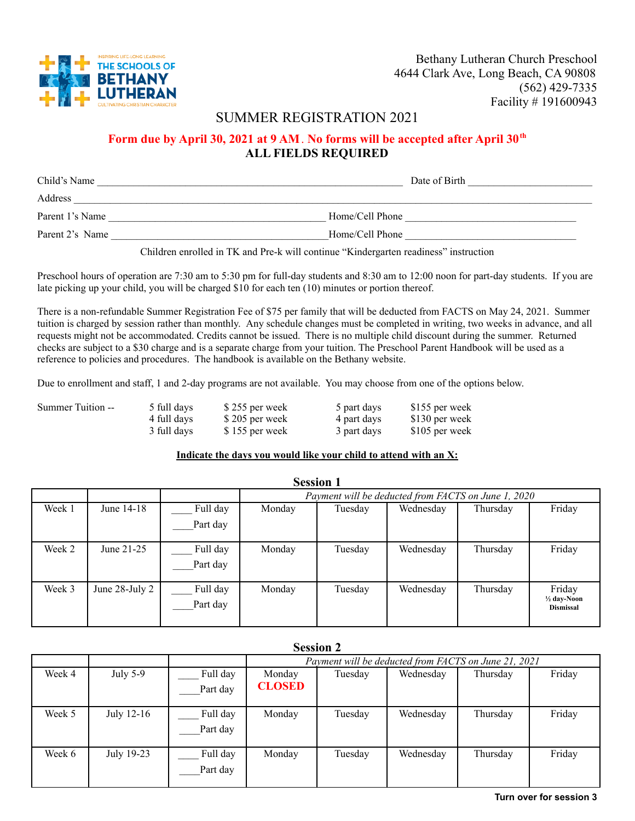

Bethany Lutheran Church Preschool 4644 Clark Ave, Long Beach, CA 90808 (562) 429-7335 Facility # 191600943

## SUMMER REGISTRATION 2021

## **Form due by April 30, 2021 at 9 AM**. **No forms will be accepted after April 30th ALL FIELDS REQUIRED**

| Child's Name    | Date of Birth   |
|-----------------|-----------------|
| Address         |                 |
| Parent 1's Name | Home/Cell Phone |
| Parent 2's Name | Home/Cell Phone |

Children enrolled in TK and Pre-k will continue "Kindergarten readiness" instruction

Preschool hours of operation are 7:30 am to 5:30 pm for full-day students and 8:30 am to 12:00 noon for part-day students. If you are late picking up your child, you will be charged \$10 for each ten (10) minutes or portion thereof.

There is a non-refundable Summer Registration Fee of \$75 per family that will be deducted from FACTS on May 24, 2021. Summer tuition is charged by session rather than monthly. Any schedule changes must be completed in writing, two weeks in advance, and all requests might not be accommodated. Credits cannot be issued. There is no multiple child discount during the summer. Returned checks are subject to a \$30 charge and is a separate charge from your tuition. The Preschool Parent Handbook will be used as a reference to policies and procedures. The handbook is available on the Bethany website.

Due to enrollment and staff, 1 and 2-day programs are not available. You may choose from one of the options below.

| Summer Tuition -- | 5 full days | \$255 per week | 5 part days | \$155 per week |
|-------------------|-------------|----------------|-------------|----------------|
|                   | 4 full days | \$205 per week | 4 part days | \$130 per week |
|                   | 3 full days | \$155 per week | 3 part days | \$105 per week |

## **Indicate the days you would like your child to attend with an X:**

| <b>Session 1</b> |                |                      |                                                     |         |           |          |                                            |  |
|------------------|----------------|----------------------|-----------------------------------------------------|---------|-----------|----------|--------------------------------------------|--|
|                  |                |                      | Payment will be deducted from FACTS on June 1, 2020 |         |           |          |                                            |  |
| Week 1           | June 14-18     | Full day             | Monday                                              | Tuesday | Wednesday | Thursday | Friday                                     |  |
|                  |                | Part day             |                                                     |         |           |          |                                            |  |
| Week 2           | June 21-25     | Full day<br>Part day | Monday                                              | Tuesday | Wednesday | Thursday | Friday                                     |  |
| Week 3           | June 28-July 2 | Full day<br>Part day | Monday                                              | Tuesday | Wednesday | Thursday | Friday<br>1/2 day-Noon<br><b>Dismissal</b> |  |

| Session 2 |            |          |                                                      |         |           |          |        |
|-----------|------------|----------|------------------------------------------------------|---------|-----------|----------|--------|
|           |            |          | Payment will be deducted from FACTS on June 21, 2021 |         |           |          |        |
| Week 4    | July 5-9   | Full day | Monday                                               | Tuesday | Wednesday | Thursday | Friday |
|           |            | Part day | <b>CLOSED</b>                                        |         |           |          |        |
| Week 5    | July 12-16 | Full day | Monday                                               | Tuesday | Wednesday | Thursday | Friday |
|           |            | Part day |                                                      |         |           |          |        |
| Week 6    | July 19-23 | Full day | Monday                                               | Tuesday | Wednesday | Thursday | Friday |
|           |            | Part day |                                                      |         |           |          |        |

## **Session 2**